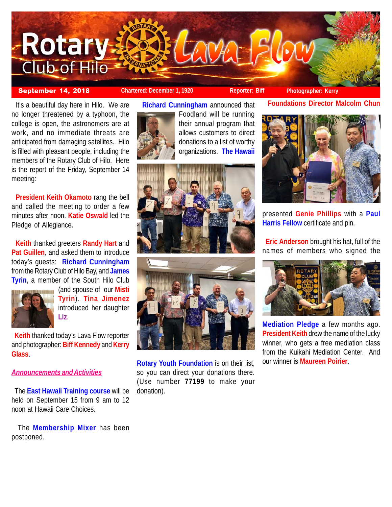

# **September 14, 2018 Chartered: December 1, 1920 Reporter: Biff Photographer: Kerry**

 It's a beautiful day here in Hilo. We are no longer threatened by a typhoon, the college is open, the astronomers are at work, and no immediate threats are anticipated from damaging satellites. Hilo is filled with pleasant people, including the members of the Rotary Club of Hilo. Here is the report of the Friday, September 14 meeting:

 **President Keith Okamoto** rang the bell and called the meeting to order a few minutes after noon. **Katie Oswald** led the Pledge of Allegiance.

 **Keith** thanked greeters **Randy Hart** and **Pat Guillen**, and asked them to introduce today's guests: **Richard Cunningham** from the Rotary Club of Hilo Bay, and **James Tyrin**, a member of the South Hilo Club



(and spouse of our **Misti Tyrin**). **Tina Jimenez** introduced her daughter **Liz**.

 **Keith** thanked today's Lava Flow reporter and photographer: **Biff Kennedy** and **Kerry Glass**.

### *Announcements and Activities*

 The **East Hawaii Training course** will be held on September 15 from 9 am to 12 noon at Hawaii Care Choices.

 The **Membership Mixer** has been postponed.

**Richard Cunningham** announced that



Foodland will be running their annual program that allows customers to direct donations to a list of worthy organizations. **The Hawaii**





**Rotary Youth Foundation** is on their list, so you can direct your donations there. (Use number **77199** to make your donation).

**Foundations Director Malcolm Chun**



presented **Genie Phillips** with a **Paul Harris Fellow** certificate and pin.

 **Eric Anderson** brought his hat, full of the names of members who signed the



**Mediation Pledge** a few months ago. **President Keith** drew the name of the lucky winner, who gets a free mediation class from the Kuikahi Mediation Center. And our winner is **Maureen Poirier**.